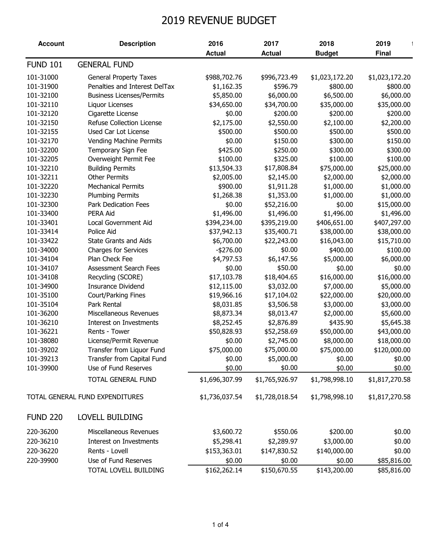## 2019 REVENUE BUDGET

| <b>FUND 101</b><br><b>GENERAL FUND</b><br>101-31000<br><b>General Property Taxes</b><br>\$988,702.76<br>\$996,723.49<br>\$1,023,172.20<br>\$1,023,172.20<br>101-31900<br>Penalties and Interest DelTax<br>\$800.00<br>\$800.00<br>\$1,162.35<br>\$596.79<br>101-32100<br>\$5,850.00<br>\$6,000.00<br>\$6,500.00<br>\$6,000.00<br><b>Business Licenses/Permits</b><br>\$34,700.00<br>\$35,000.00<br>\$35,000.00<br>101-32110<br>\$34,650.00<br>Liquor Licenses<br>101-32120<br>Cigarette License<br>\$0.00<br>\$200.00<br>\$200.00<br>\$200.00<br>Refuse Collection License<br>101-32150<br>\$2,175.00<br>\$2,550.00<br>\$2,100.00<br>\$2,200.00<br>101-32155<br>Used Car Lot License<br>\$500.00<br>\$500.00<br>\$500.00<br>\$500.00<br>101-32170<br>\$0.00<br>\$150.00<br>\$300.00<br>\$150.00<br><b>Vending Machine Permits</b><br>101-32200<br>\$425.00<br>\$250.00<br>\$300.00<br>\$300.00<br>Temporary Sign Fee<br>101-32205<br>\$100.00<br>\$325.00<br>\$100.00<br>\$100.00<br>Overweight Permit Fee<br>101-32210<br>\$13,504.33<br>\$17,808.84<br>\$75,000.00<br>\$25,000.00<br><b>Building Permits</b><br>101-32211<br><b>Other Permits</b><br>\$2,145.00<br>\$2,005.00<br>\$2,000.00<br>\$2,000.00<br>101-32220<br><b>Mechanical Permits</b><br>\$900.00<br>\$1,911.28<br>\$1,000.00<br>\$1,000.00<br>101-32230<br>\$1,268.38<br>\$1,000.00<br>\$1,000.00<br><b>Plumbing Permits</b><br>\$1,353.00<br>101-32300<br>\$0.00<br>\$52,216.00<br>\$0.00<br>\$15,000.00<br><b>Park Dedication Fees</b><br>101-33400<br>PERA Aid<br>\$1,496.00<br>\$1,496.00<br>\$1,496.00<br>\$1,496.00<br>101-33401<br>\$395,219.00<br>\$406,651.00<br>Local Government Aid<br>\$394,234.00<br>\$407,297.00<br>101-33414<br>Police Aid<br>\$37,942.13<br>\$35,400.71<br>\$38,000.00<br>\$38,000.00<br>101-33422<br>\$22,243.00<br><b>State Grants and Aids</b><br>\$6,700.00<br>\$16,043.00<br>\$15,710.00<br>101-34000<br>\$400.00<br><b>Charges for Services</b><br>$-$ \$276.00<br>\$0.00<br>\$100.00<br>101-34104<br>Plan Check Fee<br>\$4,797.53<br>\$6,147.56<br>\$5,000.00<br>\$6,000.00<br><b>Assessment Search Fees</b><br>\$0.00<br>\$50.00<br>101-34107<br>\$0.00<br>\$0.00<br>\$17,103.78<br>\$18,404.65<br>\$16,000.00<br>\$16,000.00<br>101-34108<br>Recycling (SCORE)<br>101-34900<br><b>Insurance Dividend</b><br>\$3,032.00<br>\$7,000.00<br>\$12,115.00<br>\$5,000.00<br>101-35100<br>Court/Parking Fines<br>\$19,966.16<br>\$17,104.02<br>\$22,000.00<br>\$20,000.00<br>101-35104<br>\$3,506.58<br>\$3,000.00<br>Park Rental<br>\$8,031.85<br>\$3,000.00<br>\$2,000.00<br>101-36200<br>Miscellaneous Revenues<br>\$8,873.34<br>\$8,013.47<br>\$5,600.00<br>\$2,876.89<br>\$435.90<br>101-36210<br>Interest on Investments<br>\$8,252.45<br>\$5,645.38<br>101-36221<br>Rents - Tower<br>\$50,828.93<br>\$52,258.69<br>\$50,000.00<br>\$43,000.00<br>101-38080<br>License/Permit Revenue<br>\$0.00<br>\$2,745.00<br>\$8,000.00<br>\$18,000.00<br>\$75,000.00<br>101-39202<br>\$75,000.00<br>\$75,000.00<br>\$120,000.00<br>Transfer from Liquor Fund<br>101-39213<br>Transfer from Capital Fund<br>\$5,000.00<br>\$0.00<br>\$0.00<br>\$0.00<br>101-39900<br>Use of Fund Reserves<br>\$0.00<br>\$0.00<br>\$0.00<br>\$0.00<br>\$1,696,307.99<br>\$1,817,270.58<br>TOTAL GENERAL FUND<br>\$1,765,926.97<br>\$1,798,998.10<br>TOTAL GENERAL FUND EXPENDITURES<br>\$1,736,037.54<br>\$1,728,018.54<br>\$1,798,998.10<br>\$1,817,270.58<br><b>LOVELL BUILDING</b><br>Miscellaneous Revenues<br>\$3,600.72<br>\$200.00<br>\$550.06<br>\$0.00<br>220-36210<br>\$3,000.00<br>\$0.00<br>Interest on Investments<br>\$5,298.41<br>\$2,289.97<br>\$0.00<br>220-36220<br>Rents - Lovell<br>\$153,363.01<br>\$147,830.52<br>\$140,000.00<br>220-39900<br>Use of Fund Reserves<br>\$0.00<br>\$0.00<br>\$0.00<br>\$85,816.00 | <b>Account</b>  | <b>Description</b>    | 2016          | 2017          | 2018          | 2019         |
|-------------------------------------------------------------------------------------------------------------------------------------------------------------------------------------------------------------------------------------------------------------------------------------------------------------------------------------------------------------------------------------------------------------------------------------------------------------------------------------------------------------------------------------------------------------------------------------------------------------------------------------------------------------------------------------------------------------------------------------------------------------------------------------------------------------------------------------------------------------------------------------------------------------------------------------------------------------------------------------------------------------------------------------------------------------------------------------------------------------------------------------------------------------------------------------------------------------------------------------------------------------------------------------------------------------------------------------------------------------------------------------------------------------------------------------------------------------------------------------------------------------------------------------------------------------------------------------------------------------------------------------------------------------------------------------------------------------------------------------------------------------------------------------------------------------------------------------------------------------------------------------------------------------------------------------------------------------------------------------------------------------------------------------------------------------------------------------------------------------------------------------------------------------------------------------------------------------------------------------------------------------------------------------------------------------------------------------------------------------------------------------------------------------------------------------------------------------------------------------------------------------------------------------------------------------------------------------------------------------------------------------------------------------------------------------------------------------------------------------------------------------------------------------------------------------------------------------------------------------------------------------------------------------------------------------------------------------------------------------------------------------------------------------------------------------------------------------------------------------------------------------------------------------------------------------------------------------------------------------------------------------------------------------------------------------------------------------------------------------------------------------------------------------------------------------------------------------------------------------------------------------------------------------------------------------------------------------------------------------------------------------------------------------------------------------------------------------------------------------------------------------------------------------------------------------------|-----------------|-----------------------|---------------|---------------|---------------|--------------|
|                                                                                                                                                                                                                                                                                                                                                                                                                                                                                                                                                                                                                                                                                                                                                                                                                                                                                                                                                                                                                                                                                                                                                                                                                                                                                                                                                                                                                                                                                                                                                                                                                                                                                                                                                                                                                                                                                                                                                                                                                                                                                                                                                                                                                                                                                                                                                                                                                                                                                                                                                                                                                                                                                                                                                                                                                                                                                                                                                                                                                                                                                                                                                                                                                                                                                                                                                                                                                                                                                                                                                                                                                                                                                                                                                                                                                   |                 |                       | <b>Actual</b> | <b>Actual</b> | <b>Budget</b> | <b>Final</b> |
|                                                                                                                                                                                                                                                                                                                                                                                                                                                                                                                                                                                                                                                                                                                                                                                                                                                                                                                                                                                                                                                                                                                                                                                                                                                                                                                                                                                                                                                                                                                                                                                                                                                                                                                                                                                                                                                                                                                                                                                                                                                                                                                                                                                                                                                                                                                                                                                                                                                                                                                                                                                                                                                                                                                                                                                                                                                                                                                                                                                                                                                                                                                                                                                                                                                                                                                                                                                                                                                                                                                                                                                                                                                                                                                                                                                                                   |                 |                       |               |               |               |              |
|                                                                                                                                                                                                                                                                                                                                                                                                                                                                                                                                                                                                                                                                                                                                                                                                                                                                                                                                                                                                                                                                                                                                                                                                                                                                                                                                                                                                                                                                                                                                                                                                                                                                                                                                                                                                                                                                                                                                                                                                                                                                                                                                                                                                                                                                                                                                                                                                                                                                                                                                                                                                                                                                                                                                                                                                                                                                                                                                                                                                                                                                                                                                                                                                                                                                                                                                                                                                                                                                                                                                                                                                                                                                                                                                                                                                                   |                 |                       |               |               |               |              |
|                                                                                                                                                                                                                                                                                                                                                                                                                                                                                                                                                                                                                                                                                                                                                                                                                                                                                                                                                                                                                                                                                                                                                                                                                                                                                                                                                                                                                                                                                                                                                                                                                                                                                                                                                                                                                                                                                                                                                                                                                                                                                                                                                                                                                                                                                                                                                                                                                                                                                                                                                                                                                                                                                                                                                                                                                                                                                                                                                                                                                                                                                                                                                                                                                                                                                                                                                                                                                                                                                                                                                                                                                                                                                                                                                                                                                   |                 |                       |               |               |               |              |
|                                                                                                                                                                                                                                                                                                                                                                                                                                                                                                                                                                                                                                                                                                                                                                                                                                                                                                                                                                                                                                                                                                                                                                                                                                                                                                                                                                                                                                                                                                                                                                                                                                                                                                                                                                                                                                                                                                                                                                                                                                                                                                                                                                                                                                                                                                                                                                                                                                                                                                                                                                                                                                                                                                                                                                                                                                                                                                                                                                                                                                                                                                                                                                                                                                                                                                                                                                                                                                                                                                                                                                                                                                                                                                                                                                                                                   |                 |                       |               |               |               |              |
|                                                                                                                                                                                                                                                                                                                                                                                                                                                                                                                                                                                                                                                                                                                                                                                                                                                                                                                                                                                                                                                                                                                                                                                                                                                                                                                                                                                                                                                                                                                                                                                                                                                                                                                                                                                                                                                                                                                                                                                                                                                                                                                                                                                                                                                                                                                                                                                                                                                                                                                                                                                                                                                                                                                                                                                                                                                                                                                                                                                                                                                                                                                                                                                                                                                                                                                                                                                                                                                                                                                                                                                                                                                                                                                                                                                                                   |                 |                       |               |               |               |              |
|                                                                                                                                                                                                                                                                                                                                                                                                                                                                                                                                                                                                                                                                                                                                                                                                                                                                                                                                                                                                                                                                                                                                                                                                                                                                                                                                                                                                                                                                                                                                                                                                                                                                                                                                                                                                                                                                                                                                                                                                                                                                                                                                                                                                                                                                                                                                                                                                                                                                                                                                                                                                                                                                                                                                                                                                                                                                                                                                                                                                                                                                                                                                                                                                                                                                                                                                                                                                                                                                                                                                                                                                                                                                                                                                                                                                                   |                 |                       |               |               |               |              |
|                                                                                                                                                                                                                                                                                                                                                                                                                                                                                                                                                                                                                                                                                                                                                                                                                                                                                                                                                                                                                                                                                                                                                                                                                                                                                                                                                                                                                                                                                                                                                                                                                                                                                                                                                                                                                                                                                                                                                                                                                                                                                                                                                                                                                                                                                                                                                                                                                                                                                                                                                                                                                                                                                                                                                                                                                                                                                                                                                                                                                                                                                                                                                                                                                                                                                                                                                                                                                                                                                                                                                                                                                                                                                                                                                                                                                   |                 |                       |               |               |               |              |
|                                                                                                                                                                                                                                                                                                                                                                                                                                                                                                                                                                                                                                                                                                                                                                                                                                                                                                                                                                                                                                                                                                                                                                                                                                                                                                                                                                                                                                                                                                                                                                                                                                                                                                                                                                                                                                                                                                                                                                                                                                                                                                                                                                                                                                                                                                                                                                                                                                                                                                                                                                                                                                                                                                                                                                                                                                                                                                                                                                                                                                                                                                                                                                                                                                                                                                                                                                                                                                                                                                                                                                                                                                                                                                                                                                                                                   |                 |                       |               |               |               |              |
|                                                                                                                                                                                                                                                                                                                                                                                                                                                                                                                                                                                                                                                                                                                                                                                                                                                                                                                                                                                                                                                                                                                                                                                                                                                                                                                                                                                                                                                                                                                                                                                                                                                                                                                                                                                                                                                                                                                                                                                                                                                                                                                                                                                                                                                                                                                                                                                                                                                                                                                                                                                                                                                                                                                                                                                                                                                                                                                                                                                                                                                                                                                                                                                                                                                                                                                                                                                                                                                                                                                                                                                                                                                                                                                                                                                                                   |                 |                       |               |               |               |              |
|                                                                                                                                                                                                                                                                                                                                                                                                                                                                                                                                                                                                                                                                                                                                                                                                                                                                                                                                                                                                                                                                                                                                                                                                                                                                                                                                                                                                                                                                                                                                                                                                                                                                                                                                                                                                                                                                                                                                                                                                                                                                                                                                                                                                                                                                                                                                                                                                                                                                                                                                                                                                                                                                                                                                                                                                                                                                                                                                                                                                                                                                                                                                                                                                                                                                                                                                                                                                                                                                                                                                                                                                                                                                                                                                                                                                                   |                 |                       |               |               |               |              |
|                                                                                                                                                                                                                                                                                                                                                                                                                                                                                                                                                                                                                                                                                                                                                                                                                                                                                                                                                                                                                                                                                                                                                                                                                                                                                                                                                                                                                                                                                                                                                                                                                                                                                                                                                                                                                                                                                                                                                                                                                                                                                                                                                                                                                                                                                                                                                                                                                                                                                                                                                                                                                                                                                                                                                                                                                                                                                                                                                                                                                                                                                                                                                                                                                                                                                                                                                                                                                                                                                                                                                                                                                                                                                                                                                                                                                   |                 |                       |               |               |               |              |
|                                                                                                                                                                                                                                                                                                                                                                                                                                                                                                                                                                                                                                                                                                                                                                                                                                                                                                                                                                                                                                                                                                                                                                                                                                                                                                                                                                                                                                                                                                                                                                                                                                                                                                                                                                                                                                                                                                                                                                                                                                                                                                                                                                                                                                                                                                                                                                                                                                                                                                                                                                                                                                                                                                                                                                                                                                                                                                                                                                                                                                                                                                                                                                                                                                                                                                                                                                                                                                                                                                                                                                                                                                                                                                                                                                                                                   |                 |                       |               |               |               |              |
|                                                                                                                                                                                                                                                                                                                                                                                                                                                                                                                                                                                                                                                                                                                                                                                                                                                                                                                                                                                                                                                                                                                                                                                                                                                                                                                                                                                                                                                                                                                                                                                                                                                                                                                                                                                                                                                                                                                                                                                                                                                                                                                                                                                                                                                                                                                                                                                                                                                                                                                                                                                                                                                                                                                                                                                                                                                                                                                                                                                                                                                                                                                                                                                                                                                                                                                                                                                                                                                                                                                                                                                                                                                                                                                                                                                                                   |                 |                       |               |               |               |              |
|                                                                                                                                                                                                                                                                                                                                                                                                                                                                                                                                                                                                                                                                                                                                                                                                                                                                                                                                                                                                                                                                                                                                                                                                                                                                                                                                                                                                                                                                                                                                                                                                                                                                                                                                                                                                                                                                                                                                                                                                                                                                                                                                                                                                                                                                                                                                                                                                                                                                                                                                                                                                                                                                                                                                                                                                                                                                                                                                                                                                                                                                                                                                                                                                                                                                                                                                                                                                                                                                                                                                                                                                                                                                                                                                                                                                                   |                 |                       |               |               |               |              |
|                                                                                                                                                                                                                                                                                                                                                                                                                                                                                                                                                                                                                                                                                                                                                                                                                                                                                                                                                                                                                                                                                                                                                                                                                                                                                                                                                                                                                                                                                                                                                                                                                                                                                                                                                                                                                                                                                                                                                                                                                                                                                                                                                                                                                                                                                                                                                                                                                                                                                                                                                                                                                                                                                                                                                                                                                                                                                                                                                                                                                                                                                                                                                                                                                                                                                                                                                                                                                                                                                                                                                                                                                                                                                                                                                                                                                   |                 |                       |               |               |               |              |
|                                                                                                                                                                                                                                                                                                                                                                                                                                                                                                                                                                                                                                                                                                                                                                                                                                                                                                                                                                                                                                                                                                                                                                                                                                                                                                                                                                                                                                                                                                                                                                                                                                                                                                                                                                                                                                                                                                                                                                                                                                                                                                                                                                                                                                                                                                                                                                                                                                                                                                                                                                                                                                                                                                                                                                                                                                                                                                                                                                                                                                                                                                                                                                                                                                                                                                                                                                                                                                                                                                                                                                                                                                                                                                                                                                                                                   |                 |                       |               |               |               |              |
|                                                                                                                                                                                                                                                                                                                                                                                                                                                                                                                                                                                                                                                                                                                                                                                                                                                                                                                                                                                                                                                                                                                                                                                                                                                                                                                                                                                                                                                                                                                                                                                                                                                                                                                                                                                                                                                                                                                                                                                                                                                                                                                                                                                                                                                                                                                                                                                                                                                                                                                                                                                                                                                                                                                                                                                                                                                                                                                                                                                                                                                                                                                                                                                                                                                                                                                                                                                                                                                                                                                                                                                                                                                                                                                                                                                                                   |                 |                       |               |               |               |              |
|                                                                                                                                                                                                                                                                                                                                                                                                                                                                                                                                                                                                                                                                                                                                                                                                                                                                                                                                                                                                                                                                                                                                                                                                                                                                                                                                                                                                                                                                                                                                                                                                                                                                                                                                                                                                                                                                                                                                                                                                                                                                                                                                                                                                                                                                                                                                                                                                                                                                                                                                                                                                                                                                                                                                                                                                                                                                                                                                                                                                                                                                                                                                                                                                                                                                                                                                                                                                                                                                                                                                                                                                                                                                                                                                                                                                                   |                 |                       |               |               |               |              |
|                                                                                                                                                                                                                                                                                                                                                                                                                                                                                                                                                                                                                                                                                                                                                                                                                                                                                                                                                                                                                                                                                                                                                                                                                                                                                                                                                                                                                                                                                                                                                                                                                                                                                                                                                                                                                                                                                                                                                                                                                                                                                                                                                                                                                                                                                                                                                                                                                                                                                                                                                                                                                                                                                                                                                                                                                                                                                                                                                                                                                                                                                                                                                                                                                                                                                                                                                                                                                                                                                                                                                                                                                                                                                                                                                                                                                   |                 |                       |               |               |               |              |
|                                                                                                                                                                                                                                                                                                                                                                                                                                                                                                                                                                                                                                                                                                                                                                                                                                                                                                                                                                                                                                                                                                                                                                                                                                                                                                                                                                                                                                                                                                                                                                                                                                                                                                                                                                                                                                                                                                                                                                                                                                                                                                                                                                                                                                                                                                                                                                                                                                                                                                                                                                                                                                                                                                                                                                                                                                                                                                                                                                                                                                                                                                                                                                                                                                                                                                                                                                                                                                                                                                                                                                                                                                                                                                                                                                                                                   |                 |                       |               |               |               |              |
|                                                                                                                                                                                                                                                                                                                                                                                                                                                                                                                                                                                                                                                                                                                                                                                                                                                                                                                                                                                                                                                                                                                                                                                                                                                                                                                                                                                                                                                                                                                                                                                                                                                                                                                                                                                                                                                                                                                                                                                                                                                                                                                                                                                                                                                                                                                                                                                                                                                                                                                                                                                                                                                                                                                                                                                                                                                                                                                                                                                                                                                                                                                                                                                                                                                                                                                                                                                                                                                                                                                                                                                                                                                                                                                                                                                                                   |                 |                       |               |               |               |              |
|                                                                                                                                                                                                                                                                                                                                                                                                                                                                                                                                                                                                                                                                                                                                                                                                                                                                                                                                                                                                                                                                                                                                                                                                                                                                                                                                                                                                                                                                                                                                                                                                                                                                                                                                                                                                                                                                                                                                                                                                                                                                                                                                                                                                                                                                                                                                                                                                                                                                                                                                                                                                                                                                                                                                                                                                                                                                                                                                                                                                                                                                                                                                                                                                                                                                                                                                                                                                                                                                                                                                                                                                                                                                                                                                                                                                                   |                 |                       |               |               |               |              |
|                                                                                                                                                                                                                                                                                                                                                                                                                                                                                                                                                                                                                                                                                                                                                                                                                                                                                                                                                                                                                                                                                                                                                                                                                                                                                                                                                                                                                                                                                                                                                                                                                                                                                                                                                                                                                                                                                                                                                                                                                                                                                                                                                                                                                                                                                                                                                                                                                                                                                                                                                                                                                                                                                                                                                                                                                                                                                                                                                                                                                                                                                                                                                                                                                                                                                                                                                                                                                                                                                                                                                                                                                                                                                                                                                                                                                   |                 |                       |               |               |               |              |
|                                                                                                                                                                                                                                                                                                                                                                                                                                                                                                                                                                                                                                                                                                                                                                                                                                                                                                                                                                                                                                                                                                                                                                                                                                                                                                                                                                                                                                                                                                                                                                                                                                                                                                                                                                                                                                                                                                                                                                                                                                                                                                                                                                                                                                                                                                                                                                                                                                                                                                                                                                                                                                                                                                                                                                                                                                                                                                                                                                                                                                                                                                                                                                                                                                                                                                                                                                                                                                                                                                                                                                                                                                                                                                                                                                                                                   |                 |                       |               |               |               |              |
|                                                                                                                                                                                                                                                                                                                                                                                                                                                                                                                                                                                                                                                                                                                                                                                                                                                                                                                                                                                                                                                                                                                                                                                                                                                                                                                                                                                                                                                                                                                                                                                                                                                                                                                                                                                                                                                                                                                                                                                                                                                                                                                                                                                                                                                                                                                                                                                                                                                                                                                                                                                                                                                                                                                                                                                                                                                                                                                                                                                                                                                                                                                                                                                                                                                                                                                                                                                                                                                                                                                                                                                                                                                                                                                                                                                                                   |                 |                       |               |               |               |              |
|                                                                                                                                                                                                                                                                                                                                                                                                                                                                                                                                                                                                                                                                                                                                                                                                                                                                                                                                                                                                                                                                                                                                                                                                                                                                                                                                                                                                                                                                                                                                                                                                                                                                                                                                                                                                                                                                                                                                                                                                                                                                                                                                                                                                                                                                                                                                                                                                                                                                                                                                                                                                                                                                                                                                                                                                                                                                                                                                                                                                                                                                                                                                                                                                                                                                                                                                                                                                                                                                                                                                                                                                                                                                                                                                                                                                                   |                 |                       |               |               |               |              |
|                                                                                                                                                                                                                                                                                                                                                                                                                                                                                                                                                                                                                                                                                                                                                                                                                                                                                                                                                                                                                                                                                                                                                                                                                                                                                                                                                                                                                                                                                                                                                                                                                                                                                                                                                                                                                                                                                                                                                                                                                                                                                                                                                                                                                                                                                                                                                                                                                                                                                                                                                                                                                                                                                                                                                                                                                                                                                                                                                                                                                                                                                                                                                                                                                                                                                                                                                                                                                                                                                                                                                                                                                                                                                                                                                                                                                   |                 |                       |               |               |               |              |
|                                                                                                                                                                                                                                                                                                                                                                                                                                                                                                                                                                                                                                                                                                                                                                                                                                                                                                                                                                                                                                                                                                                                                                                                                                                                                                                                                                                                                                                                                                                                                                                                                                                                                                                                                                                                                                                                                                                                                                                                                                                                                                                                                                                                                                                                                                                                                                                                                                                                                                                                                                                                                                                                                                                                                                                                                                                                                                                                                                                                                                                                                                                                                                                                                                                                                                                                                                                                                                                                                                                                                                                                                                                                                                                                                                                                                   |                 |                       |               |               |               |              |
|                                                                                                                                                                                                                                                                                                                                                                                                                                                                                                                                                                                                                                                                                                                                                                                                                                                                                                                                                                                                                                                                                                                                                                                                                                                                                                                                                                                                                                                                                                                                                                                                                                                                                                                                                                                                                                                                                                                                                                                                                                                                                                                                                                                                                                                                                                                                                                                                                                                                                                                                                                                                                                                                                                                                                                                                                                                                                                                                                                                                                                                                                                                                                                                                                                                                                                                                                                                                                                                                                                                                                                                                                                                                                                                                                                                                                   |                 |                       |               |               |               |              |
|                                                                                                                                                                                                                                                                                                                                                                                                                                                                                                                                                                                                                                                                                                                                                                                                                                                                                                                                                                                                                                                                                                                                                                                                                                                                                                                                                                                                                                                                                                                                                                                                                                                                                                                                                                                                                                                                                                                                                                                                                                                                                                                                                                                                                                                                                                                                                                                                                                                                                                                                                                                                                                                                                                                                                                                                                                                                                                                                                                                                                                                                                                                                                                                                                                                                                                                                                                                                                                                                                                                                                                                                                                                                                                                                                                                                                   |                 |                       |               |               |               |              |
|                                                                                                                                                                                                                                                                                                                                                                                                                                                                                                                                                                                                                                                                                                                                                                                                                                                                                                                                                                                                                                                                                                                                                                                                                                                                                                                                                                                                                                                                                                                                                                                                                                                                                                                                                                                                                                                                                                                                                                                                                                                                                                                                                                                                                                                                                                                                                                                                                                                                                                                                                                                                                                                                                                                                                                                                                                                                                                                                                                                                                                                                                                                                                                                                                                                                                                                                                                                                                                                                                                                                                                                                                                                                                                                                                                                                                   |                 |                       |               |               |               |              |
|                                                                                                                                                                                                                                                                                                                                                                                                                                                                                                                                                                                                                                                                                                                                                                                                                                                                                                                                                                                                                                                                                                                                                                                                                                                                                                                                                                                                                                                                                                                                                                                                                                                                                                                                                                                                                                                                                                                                                                                                                                                                                                                                                                                                                                                                                                                                                                                                                                                                                                                                                                                                                                                                                                                                                                                                                                                                                                                                                                                                                                                                                                                                                                                                                                                                                                                                                                                                                                                                                                                                                                                                                                                                                                                                                                                                                   |                 |                       |               |               |               |              |
|                                                                                                                                                                                                                                                                                                                                                                                                                                                                                                                                                                                                                                                                                                                                                                                                                                                                                                                                                                                                                                                                                                                                                                                                                                                                                                                                                                                                                                                                                                                                                                                                                                                                                                                                                                                                                                                                                                                                                                                                                                                                                                                                                                                                                                                                                                                                                                                                                                                                                                                                                                                                                                                                                                                                                                                                                                                                                                                                                                                                                                                                                                                                                                                                                                                                                                                                                                                                                                                                                                                                                                                                                                                                                                                                                                                                                   |                 |                       |               |               |               |              |
|                                                                                                                                                                                                                                                                                                                                                                                                                                                                                                                                                                                                                                                                                                                                                                                                                                                                                                                                                                                                                                                                                                                                                                                                                                                                                                                                                                                                                                                                                                                                                                                                                                                                                                                                                                                                                                                                                                                                                                                                                                                                                                                                                                                                                                                                                                                                                                                                                                                                                                                                                                                                                                                                                                                                                                                                                                                                                                                                                                                                                                                                                                                                                                                                                                                                                                                                                                                                                                                                                                                                                                                                                                                                                                                                                                                                                   |                 |                       |               |               |               |              |
|                                                                                                                                                                                                                                                                                                                                                                                                                                                                                                                                                                                                                                                                                                                                                                                                                                                                                                                                                                                                                                                                                                                                                                                                                                                                                                                                                                                                                                                                                                                                                                                                                                                                                                                                                                                                                                                                                                                                                                                                                                                                                                                                                                                                                                                                                                                                                                                                                                                                                                                                                                                                                                                                                                                                                                                                                                                                                                                                                                                                                                                                                                                                                                                                                                                                                                                                                                                                                                                                                                                                                                                                                                                                                                                                                                                                                   |                 |                       |               |               |               |              |
|                                                                                                                                                                                                                                                                                                                                                                                                                                                                                                                                                                                                                                                                                                                                                                                                                                                                                                                                                                                                                                                                                                                                                                                                                                                                                                                                                                                                                                                                                                                                                                                                                                                                                                                                                                                                                                                                                                                                                                                                                                                                                                                                                                                                                                                                                                                                                                                                                                                                                                                                                                                                                                                                                                                                                                                                                                                                                                                                                                                                                                                                                                                                                                                                                                                                                                                                                                                                                                                                                                                                                                                                                                                                                                                                                                                                                   |                 |                       |               |               |               |              |
|                                                                                                                                                                                                                                                                                                                                                                                                                                                                                                                                                                                                                                                                                                                                                                                                                                                                                                                                                                                                                                                                                                                                                                                                                                                                                                                                                                                                                                                                                                                                                                                                                                                                                                                                                                                                                                                                                                                                                                                                                                                                                                                                                                                                                                                                                                                                                                                                                                                                                                                                                                                                                                                                                                                                                                                                                                                                                                                                                                                                                                                                                                                                                                                                                                                                                                                                                                                                                                                                                                                                                                                                                                                                                                                                                                                                                   | <b>FUND 220</b> |                       |               |               |               |              |
|                                                                                                                                                                                                                                                                                                                                                                                                                                                                                                                                                                                                                                                                                                                                                                                                                                                                                                                                                                                                                                                                                                                                                                                                                                                                                                                                                                                                                                                                                                                                                                                                                                                                                                                                                                                                                                                                                                                                                                                                                                                                                                                                                                                                                                                                                                                                                                                                                                                                                                                                                                                                                                                                                                                                                                                                                                                                                                                                                                                                                                                                                                                                                                                                                                                                                                                                                                                                                                                                                                                                                                                                                                                                                                                                                                                                                   | 220-36200       |                       |               |               |               |              |
|                                                                                                                                                                                                                                                                                                                                                                                                                                                                                                                                                                                                                                                                                                                                                                                                                                                                                                                                                                                                                                                                                                                                                                                                                                                                                                                                                                                                                                                                                                                                                                                                                                                                                                                                                                                                                                                                                                                                                                                                                                                                                                                                                                                                                                                                                                                                                                                                                                                                                                                                                                                                                                                                                                                                                                                                                                                                                                                                                                                                                                                                                                                                                                                                                                                                                                                                                                                                                                                                                                                                                                                                                                                                                                                                                                                                                   |                 |                       |               |               |               |              |
|                                                                                                                                                                                                                                                                                                                                                                                                                                                                                                                                                                                                                                                                                                                                                                                                                                                                                                                                                                                                                                                                                                                                                                                                                                                                                                                                                                                                                                                                                                                                                                                                                                                                                                                                                                                                                                                                                                                                                                                                                                                                                                                                                                                                                                                                                                                                                                                                                                                                                                                                                                                                                                                                                                                                                                                                                                                                                                                                                                                                                                                                                                                                                                                                                                                                                                                                                                                                                                                                                                                                                                                                                                                                                                                                                                                                                   |                 |                       |               |               |               |              |
|                                                                                                                                                                                                                                                                                                                                                                                                                                                                                                                                                                                                                                                                                                                                                                                                                                                                                                                                                                                                                                                                                                                                                                                                                                                                                                                                                                                                                                                                                                                                                                                                                                                                                                                                                                                                                                                                                                                                                                                                                                                                                                                                                                                                                                                                                                                                                                                                                                                                                                                                                                                                                                                                                                                                                                                                                                                                                                                                                                                                                                                                                                                                                                                                                                                                                                                                                                                                                                                                                                                                                                                                                                                                                                                                                                                                                   |                 |                       |               |               |               |              |
|                                                                                                                                                                                                                                                                                                                                                                                                                                                                                                                                                                                                                                                                                                                                                                                                                                                                                                                                                                                                                                                                                                                                                                                                                                                                                                                                                                                                                                                                                                                                                                                                                                                                                                                                                                                                                                                                                                                                                                                                                                                                                                                                                                                                                                                                                                                                                                                                                                                                                                                                                                                                                                                                                                                                                                                                                                                                                                                                                                                                                                                                                                                                                                                                                                                                                                                                                                                                                                                                                                                                                                                                                                                                                                                                                                                                                   |                 | TOTAL LOVELL BUILDING | \$162,262.14  | \$150,670.55  | \$143,200.00  | \$85,816.00  |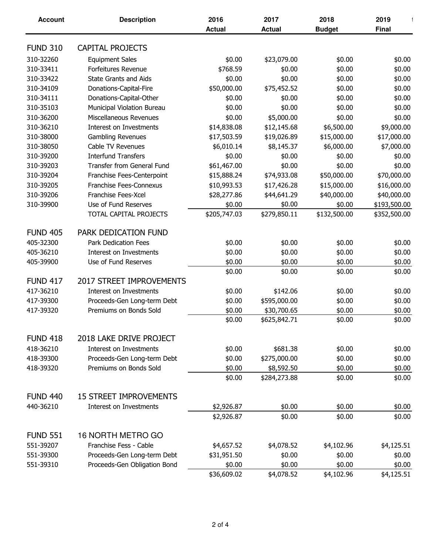| <b>Account</b>  | <b>Description</b>                | 2016          | 2017          | 2018          | 2019         |
|-----------------|-----------------------------------|---------------|---------------|---------------|--------------|
|                 |                                   | <b>Actual</b> | <b>Actual</b> | <b>Budget</b> | <b>Final</b> |
| <b>FUND 310</b> | <b>CAPITAL PROJECTS</b>           |               |               |               |              |
|                 |                                   |               |               |               |              |
| 310-32260       | <b>Equipment Sales</b>            | \$0.00        | \$23,079.00   | \$0.00        | \$0.00       |
| 310-33411       | <b>Forfeitures Revenue</b>        | \$768.59      | \$0.00        | \$0.00        | \$0.00       |
| 310-33422       | <b>State Grants and Aids</b>      | \$0.00        | \$0.00        | \$0.00        | \$0.00       |
| 310-34109       | Donations-Capital-Fire            | \$50,000.00   | \$75,452.52   | \$0.00        | \$0.00       |
| 310-34111       | Donations-Capital-Other           | \$0.00        | \$0.00        | \$0.00        | \$0.00       |
| 310-35103       | Municipal Violation Bureau        | \$0.00        | \$0.00        | \$0.00        | \$0.00       |
| 310-36200       | Miscellaneous Revenues            | \$0.00        | \$5,000.00    | \$0.00        | \$0.00       |
| 310-36210       | Interest on Investments           | \$14,838.08   | \$12,145.68   | \$6,500.00    | \$9,000.00   |
| 310-38000       | <b>Gambling Revenues</b>          | \$17,503.59   | \$19,026.89   | \$15,000.00   | \$17,000.00  |
| 310-38050       | Cable TV Revenues                 | \$6,010.14    | \$8,145.37    | \$6,000.00    | \$7,000.00   |
| 310-39200       | <b>Interfund Transfers</b>        | \$0.00        | \$0.00        | \$0.00        | \$0.00       |
| 310-39203       | <b>Transfer from General Fund</b> | \$61,467.00   | \$0.00        | \$0.00        | \$0.00       |
| 310-39204       | Franchise Fees-Centerpoint        | \$15,888.24   | \$74,933.08   | \$50,000.00   | \$70,000.00  |
| 310-39205       | Franchise Fees-Connexus           | \$10,993.53   | \$17,426.28   | \$15,000.00   | \$16,000.00  |
| 310-39206       | Franchise Fees-Xcel               | \$28,277.86   | \$44,641.29   | \$40,000.00   | \$40,000.00  |
| 310-39900       | Use of Fund Reserves              | \$0.00        | \$0.00        | \$0.00        | \$193,500.00 |
|                 | TOTAL CAPITAL PROJECTS            | \$205,747.03  | \$279,850.11  | \$132,500.00  | \$352,500.00 |
| <b>FUND 405</b> | PARK DEDICATION FUND              |               |               |               |              |
| 405-32300       | <b>Park Dedication Fees</b>       | \$0.00        | \$0.00        | \$0.00        | \$0.00       |
| 405-36210       | Interest on Investments           | \$0.00        | \$0.00        | \$0.00        | \$0.00       |
| 405-39900       | Use of Fund Reserves              | \$0.00        | \$0.00        | \$0.00        | \$0.00       |
|                 |                                   | \$0.00        | \$0.00        | \$0.00        | \$0.00       |
| <b>FUND 417</b> | <b>2017 STREET IMPROVEMENTS</b>   |               |               |               |              |
| 417-36210       | Interest on Investments           | \$0.00        | \$142.06      | \$0.00        | \$0.00       |
| 417-39300       | Proceeds-Gen Long-term Debt       | \$0.00        | \$595,000.00  | \$0.00        | \$0.00       |
| 417-39320       | Premiums on Bonds Sold            | \$0.00        | \$30,700.65   | \$0.00        | \$0.00       |
|                 |                                   | \$0.00        | \$625,842.71  | \$0.00        | \$0.00       |
| <b>FUND 418</b> | 2018 LAKE DRIVE PROJECT           |               |               |               |              |
| 418-36210       | Interest on Investments           | \$0.00        | \$681.38      | \$0.00        | \$0.00       |
| 418-39300       | Proceeds-Gen Long-term Debt       | \$0.00        | \$275,000.00  | \$0.00        | \$0.00       |
|                 |                                   |               | \$8,592.50    |               |              |
| 418-39320       | Premiums on Bonds Sold            | \$0.00        |               | \$0.00        | \$0.00       |
|                 |                                   | \$0.00        | \$284,273.88  | \$0.00        | \$0.00       |
| <b>FUND 440</b> | <b>15 STREET IMPROVEMENTS</b>     |               |               |               |              |
| 440-36210       | Interest on Investments           | \$2,926.87    | \$0.00        | \$0.00        | \$0.00       |
|                 |                                   | \$2,926.87    | \$0.00        | \$0.00        | \$0.00       |
| <b>FUND 551</b> | 16 NORTH METRO GO                 |               |               |               |              |
| 551-39207       | Franchise Fess - Cable            | \$4,657.52    | \$4,078.52    | \$4,102.96    | \$4,125.51   |
| 551-39300       | Proceeds-Gen Long-term Debt       | \$31,951.50   | \$0.00        | \$0.00        | \$0.00       |
| 551-39310       | Proceeds-Gen Obligation Bond      | \$0.00        | \$0.00        | \$0.00        | \$0.00       |
|                 |                                   | \$36,609.02   | \$4,078.52    | \$4,102.96    | \$4,125.51   |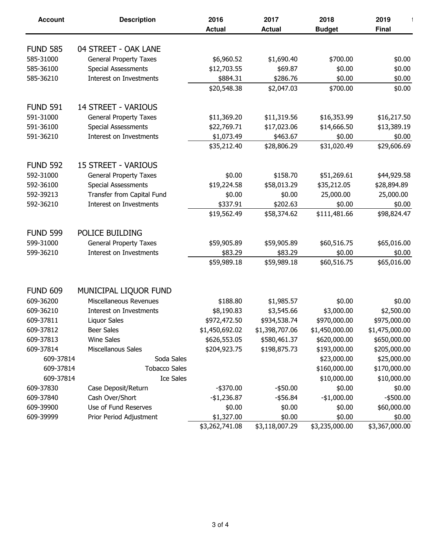| <b>Account</b>  | <b>Description</b>            | 2016           | 2017           | 2018           | 2019           |
|-----------------|-------------------------------|----------------|----------------|----------------|----------------|
|                 |                               | <b>Actual</b>  | <b>Actual</b>  | <b>Budget</b>  | <b>Final</b>   |
|                 |                               |                |                |                |                |
| <b>FUND 585</b> | 04 STREET - OAK LANE          |                |                |                |                |
| 585-31000       | <b>General Property Taxes</b> | \$6,960.52     | \$1,690.40     | \$700.00       | \$0.00         |
| 585-36100       | <b>Special Assessments</b>    | \$12,703.55    | \$69.87        | \$0.00         | \$0.00         |
| 585-36210       | Interest on Investments       | \$884.31       | \$286.76       | \$0.00         | \$0.00         |
|                 |                               | \$20,548.38    | \$2,047.03     | \$700.00       | \$0.00         |
| <b>FUND 591</b> | <b>14 STREET - VARIOUS</b>    |                |                |                |                |
| 591-31000       | <b>General Property Taxes</b> | \$11,369.20    | \$11,319.56    | \$16,353.99    | \$16,217.50    |
| 591-36100       | <b>Special Assessments</b>    | \$22,769.71    | \$17,023.06    | \$14,666.50    | \$13,389.19    |
| 591-36210       | Interest on Investments       | \$1,073.49     | \$463.67       | \$0.00         | \$0.00         |
|                 |                               | \$35,212.40    | \$28,806.29    | \$31,020.49    | \$29,606.69    |
| <b>FUND 592</b> | <b>15 STREET - VARIOUS</b>    |                |                |                |                |
| 592-31000       | <b>General Property Taxes</b> | \$0.00         | \$158.70       | \$51,269.61    | \$44,929.58    |
| 592-36100       | <b>Special Assessments</b>    | \$19,224.58    | \$58,013.29    | \$35,212.05    | \$28,894.89    |
| 592-39213       | Transfer from Capital Fund    | \$0.00         | \$0.00         | 25,000.00      | 25,000.00      |
| 592-36210       | Interest on Investments       | \$337.91       | \$202.63       | \$0.00         | \$0.00         |
|                 |                               | \$19,562.49    | \$58,374.62    | \$111,481.66   | \$98,824.47    |
|                 |                               |                |                |                |                |
| <b>FUND 599</b> | POLICE BUILDING               |                |                |                |                |
| 599-31000       | <b>General Property Taxes</b> | \$59,905.89    | \$59,905.89    | \$60,516.75    | \$65,016.00    |
| 599-36210       | Interest on Investments       | \$83.29        | \$83.29        | \$0.00         | \$0.00         |
|                 |                               | \$59,989.18    | \$59,989.18    | \$60,516.75    | \$65,016.00    |
|                 |                               |                |                |                |                |
| <b>FUND 609</b> | MUNICIPAL LIQUOR FUND         |                |                |                |                |
| 609-36200       | Miscellaneous Revenues        | \$188.80       | \$1,985.57     | \$0.00         | \$0.00         |
| 609-36210       | Interest on Investments       | \$8,190.83     | \$3,545.66     | \$3,000.00     | \$2,500.00     |
| 609-37811       | Liquor Sales                  | \$972,472.50   | \$934,538.74   | \$970,000.00   | \$975,000.00   |
| 609-37812       | Beer Sales                    | \$1,450,692.02 | \$1,398,707.06 | \$1,450,000.00 | \$1,475,000.00 |
| 609-37813       | <b>Wine Sales</b>             | \$626,553.05   | \$580,461.37   | \$620,000.00   | \$650,000.00   |
| 609-37814       | Miscellanous Sales            | \$204,923.75   | \$198,875.73   | \$193,000.00   | \$205,000.00   |
| 609-37814       | Soda Sales                    |                |                | \$23,000.00    | \$25,000.00    |
| 609-37814       | <b>Tobacco Sales</b>          |                |                | \$160,000.00   | \$170,000.00   |
| 609-37814       | <b>Ice Sales</b>              |                |                | \$10,000.00    | \$10,000.00    |
| 609-37830       | Case Deposit/Return           | $-$ \$370.00   | $-$ \$50.00    | \$0.00         | \$0.00         |
| 609-37840       | Cash Over/Short               | $-$1,236.87$   | $-$ \$56.84    | $-$1,000.00$   | $-$ \$500.00   |
| 609-39900       | Use of Fund Reserves          | \$0.00         | \$0.00         | \$0.00         | \$60,000.00    |
| 609-39999       | Prior Period Adjustment       | \$1,327.00     | \$0.00         | \$0.00         | \$0.00         |
|                 |                               | \$3,262,741.08 | \$3,118,007.29 | \$3,235,000.00 | \$3,367,000.00 |